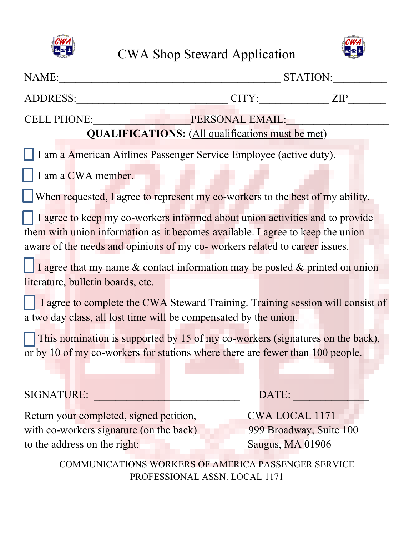



| NAME:                                                                                                                                                                                                                                                                                                                              |       | STATION:                |  |
|------------------------------------------------------------------------------------------------------------------------------------------------------------------------------------------------------------------------------------------------------------------------------------------------------------------------------------|-------|-------------------------|--|
| <b>ADDRESS:</b>                                                                                                                                                                                                                                                                                                                    | CITY: | <b>ZIP</b>              |  |
| <b>CELL PHONE:</b><br>PERSONAL EMAIL:<br><b>QUALIFICATIONS:</b> (All qualifications must be met)                                                                                                                                                                                                                                   |       |                         |  |
| I am a American Airlines Passenger Service Employee (active duty).                                                                                                                                                                                                                                                                 |       |                         |  |
| I am a CWA member.                                                                                                                                                                                                                                                                                                                 |       |                         |  |
| When requested, I agree to represent my co-workers to the best of my ability.                                                                                                                                                                                                                                                      |       |                         |  |
| I agree to keep my co-workers informed about union activities and to provide<br>them with union information as it becomes available. I agree to keep the union<br>aware of the needs and opinions of my co- workers related to career issues.<br>I agree that my name $\&$ contact information may be posted $\&$ printed on union |       |                         |  |
| literature, bulletin boards, etc.                                                                                                                                                                                                                                                                                                  |       |                         |  |
| I agree to complete the CWA Steward Training. Training session will consist of<br>a two day class, all lost time will be compensated by the union.                                                                                                                                                                                 |       |                         |  |
| This nomination is supported by 15 of my co-workers (signatures on the back),<br>or by 10 of my co-workers for stations where there are fewer than 100 people.                                                                                                                                                                     |       |                         |  |
| <b>SIGNATURE:</b>                                                                                                                                                                                                                                                                                                                  |       | DATE:                   |  |
| Return your completed, signed petition,                                                                                                                                                                                                                                                                                            |       | <b>CWA LOCAL 1171</b>   |  |
| with co-workers signature (on the back)                                                                                                                                                                                                                                                                                            |       | 999 Broadway, Suite 100 |  |
| to the address on the right:                                                                                                                                                                                                                                                                                                       |       | Saugus, MA 01906        |  |
| COMMUNICATIONS WORKERS OF AMERICA PASSENGER SERVICE                                                                                                                                                                                                                                                                                |       |                         |  |

PROFESSIONAL ASSN. LOCAL 1171